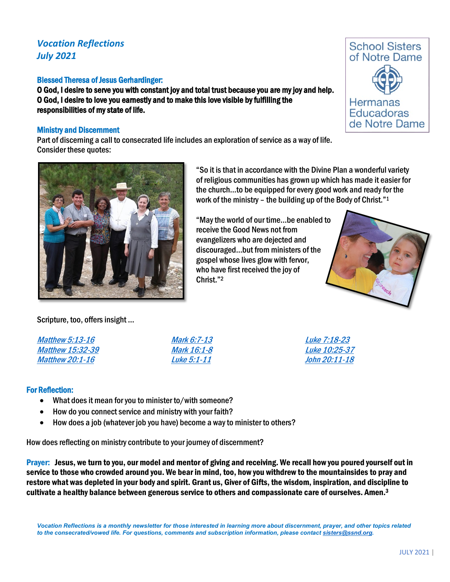# *Vocation Reflections July 2021*

## Blessed Theresa of Jesus Gerhardinger:

O God, I desire to serve you with constant joy and total trust because you are my joy and help. O God, I desire to love you earnestly and to make this love visible by fulfilling the responsibilities of my state of life.

## Ministry and Discernment

Part of discerning a call to consecrated life includes an exploration of service as a way of life. Consider these quotes:



"May the world of our time…be enabled to receive the Good News not from evangelizers who are dejected and discouraged…but from ministers of the gospel whose lives glow with fervor, who have first received the joy of Christ."2



**School Sisters** of Notre Dame

Hermanas **Educadoras** de Notre Dame

Scripture, too, offers insight … [Matthew 5:13-16](https://www.biblegateway.com/passage/?search=Matthew+5%3A13-16&version=NABRE) [Matthew 15:32-39](https://www.biblegateway.com/passage/?search=Matthew+15%3A32-39&version=NABRE) [Matthew 20:1-16](https://www.biblegateway.com/passage/?search=Matthew+20%3A1-16&version=NABRE) [Mark 6:7-13](https://www.biblegateway.com/passage/?search=Mark+6%3A7-13&version=NABRE) [Mark 16:1-8](https://www.biblegateway.com/passage/?search=Mark+16%3A1-8&version=NABRE) [Luke 5:1-11](https://www.biblegateway.com/passage/?search=Luke+5%3A1-11&version=NABRE)

[Luke 7:18-23](https://www.biblegateway.com/passage/?search=Luke+7%3A18-23&version=NABRE) [Luke 10:25-37](https://www.biblegateway.com/passage/?search=Luke+10%3A25-37&version=NABRE) [John 20:11-18](https://www.biblegateway.com/passage/?search=John+20%3A11-18&version=NABRE)

### For Reflection:

- What does it mean for you to minister to/with someone?
- How do you connect service and ministry with your faith?
- How does a job (whatever job you have) become a way to minister to others?

How does reflecting on ministry contribute to your journey of discernment?

Prayer: Jesus, we turn to you, our model and mentor of giving and receiving. We recall how you poured yourself out in service to those who crowded around you. We bear in mind, too, how you withdrew to the mountainsides to pray and restore what was depleted in your body and spirit. Grant us, Giver of Gifts, the wisdom, inspiration, and discipline to cultivate a healthy balance between generous service to others and compassionate care of ourselves. Amen.3

*Vocation Reflections is a monthly newsletter for those interested in learning more about discernment, prayer, and other topics related to the consecrated/vowed life. For questions, comments and subscription information, please contac[t sisters@ssnd.org.](mailto:sisters@ssnd.org)*